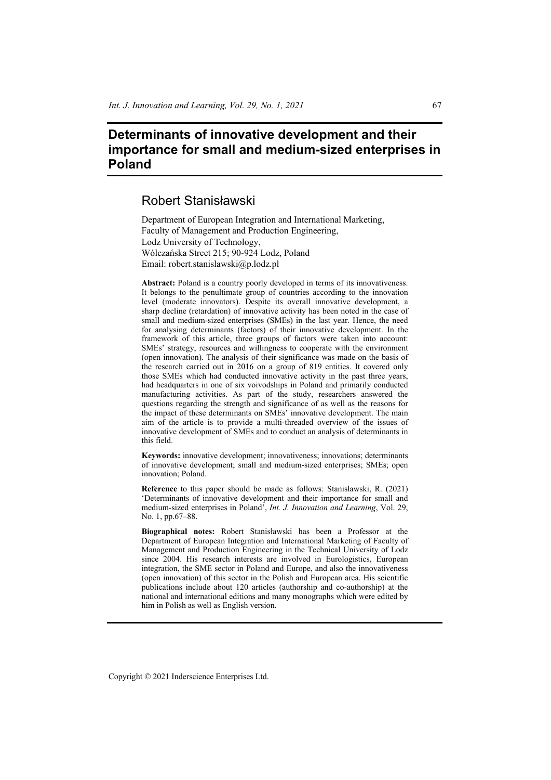# **Determinants of innovative development and their importance for small and medium-sized enterprises in Poland**

## Robert Stanisławski

Department of European Integration and International Marketing, Faculty of Management and Production Engineering, Lodz University of Technology, Wólczańska Street 215; 90-924 Lodz, Poland Email: robert.stanislawski@p.lodz.pl

Abstract: Poland is a country poorly developed in terms of its innovativeness. It belongs to the penultimate group of countries according to the innovation level (moderate innovators). Despite its overall innovative development, a sharp decline (retardation) of innovative activity has been noted in the case of small and medium-sized enterprises (SMEs) in the last year. Hence, the need for analysing determinants (factors) of their innovative development. In the framework of this article, three groups of factors were taken into account: SMEs' strategy, resources and willingness to cooperate with the environment (open innovation). The analysis of their significance was made on the basis of the research carried out in 2016 on a group of 819 entities. It covered only those SMEs which had conducted innovative activity in the past three years, had headquarters in one of six voivodships in Poland and primarily conducted manufacturing activities. As part of the study, researchers answered the questions regarding the strength and significance of as well as the reasons for the impact of these determinants on SMEs' innovative development. The main aim of the article is to provide a multi-threaded overview of the issues of innovative development of SMEs and to conduct an analysis of determinants in this field.

**Keywords:** innovative development; innovativeness; innovations; determinants of innovative development; small and medium-sized enterprises; SMEs; open innovation; Poland.

**Reference** to this paper should be made as follows: Stanisławski, R. (2021) 'Determinants of innovative development and their importance for small and medium-sized enterprises in Poland', *Int. J. Innovation and Learning*, Vol. 29, No. 1, pp.67–88.

**Biographical notes:** Robert Stanisławski has been a Professor at the Department of European Integration and International Marketing of Faculty of Management and Production Engineering in the Technical University of Lodz since 2004. His research interests are involved in Eurologistics, European integration, the SME sector in Poland and Europe, and also the innovativeness (open innovation) of this sector in the Polish and European area. His scientific publications include about 120 articles (authorship and co-authorship) at the national and international editions and many monographs which were edited by him in Polish as well as English version.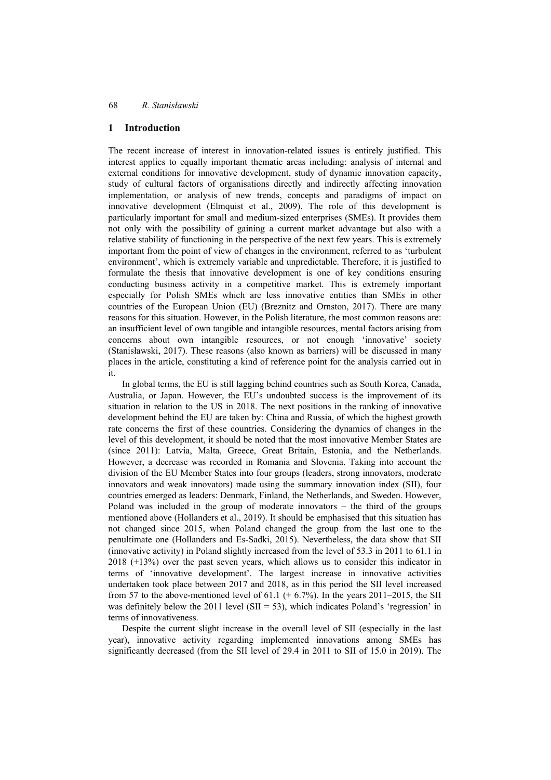### **1 Introduction**

The recent increase of interest in innovation-related issues is entirely justified. This interest applies to equally important thematic areas including: analysis of internal and external conditions for innovative development, study of dynamic innovation capacity, study of cultural factors of organisations directly and indirectly affecting innovation implementation, or analysis of new trends, concepts and paradigms of impact on innovative development (Elmquist et al., 2009). The role of this development is particularly important for small and medium-sized enterprises (SMEs). It provides them not only with the possibility of gaining a current market advantage but also with a relative stability of functioning in the perspective of the next few years. This is extremely important from the point of view of changes in the environment, referred to as 'turbulent environment', which is extremely variable and unpredictable. Therefore, it is justified to formulate the thesis that innovative development is one of key conditions ensuring conducting business activity in a competitive market. This is extremely important especially for Polish SMEs which are less innovative entities than SMEs in other countries of the European Union (EU) (Breznitz and Ornston, 2017). There are many reasons for this situation. However, in the Polish literature, the most common reasons are: an insufficient level of own tangible and intangible resources, mental factors arising from concerns about own intangible resources, or not enough 'innovative' society (Stanisławski, 2017). These reasons (also known as barriers) will be discussed in many places in the article, constituting a kind of reference point for the analysis carried out in it.

In global terms, the EU is still lagging behind countries such as South Korea, Canada, Australia, or Japan. However, the EU's undoubted success is the improvement of its situation in relation to the US in 2018. The next positions in the ranking of innovative development behind the EU are taken by: China and Russia, of which the highest growth rate concerns the first of these countries. Considering the dynamics of changes in the level of this development, it should be noted that the most innovative Member States are (since 2011): Latvia, Malta, Greece, Great Britain, Estonia, and the Netherlands. However, a decrease was recorded in Romania and Slovenia. Taking into account the division of the EU Member States into four groups (leaders, strong innovators, moderate innovators and weak innovators) made using the summary innovation index (SII), four countries emerged as leaders: Denmark, Finland, the Netherlands, and Sweden. However, Poland was included in the group of moderate innovators – the third of the groups mentioned above (Hollanders et al., 2019). It should be emphasised that this situation has not changed since 2015, when Poland changed the group from the last one to the penultimate one (Hollanders and Es-Sadki, 2015). Nevertheless, the data show that SII (innovative activity) in Poland slightly increased from the level of 53.3 in 2011 to 61.1 in 2018 (+13%) over the past seven years, which allows us to consider this indicator in terms of 'innovative development'. The largest increase in innovative activities undertaken took place between 2017 and 2018, as in this period the SII level increased from 57 to the above-mentioned level of 61.1 ( $+$  6.7%). In the years 2011–2015, the SII was definitely below the 2011 level  $(SII = 53)$ , which indicates Poland's 'regression' in terms of innovativeness.

Despite the current slight increase in the overall level of SII (especially in the last year), innovative activity regarding implemented innovations among SMEs has significantly decreased (from the SII level of 29.4 in 2011 to SII of 15.0 in 2019). The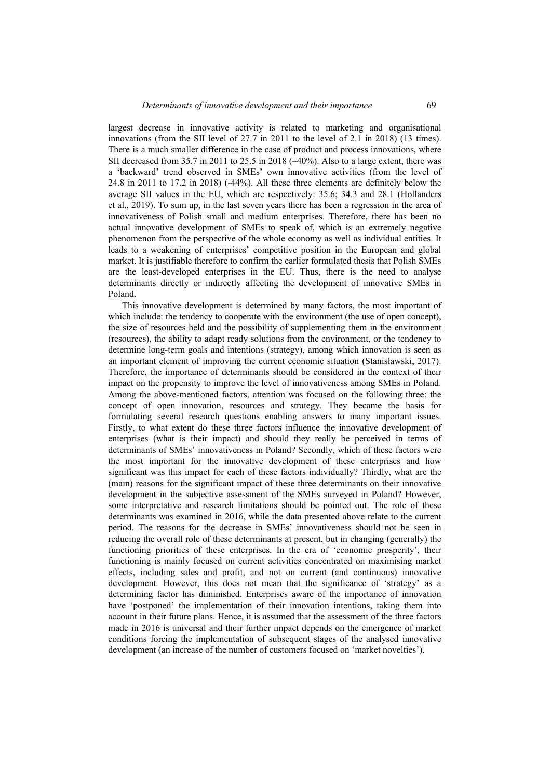largest decrease in innovative activity is related to marketing and organisational innovations (from the SII level of 27.7 in 2011 to the level of 2.1 in 2018) (13 times). There is a much smaller difference in the case of product and process innovations, where SII decreased from 35.7 in 2011 to 25.5 in 2018  $(-40\%)$ . Also to a large extent, there was a 'backward' trend observed in SMEs' own innovative activities (from the level of 24.8 in 2011 to 17.2 in 2018) (-44%). All these three elements are definitely below the average SII values in the EU, which are respectively: 35.6; 34.3 and 28.1 (Hollanders et al., 2019). To sum up, in the last seven years there has been a regression in the area of innovativeness of Polish small and medium enterprises. Therefore, there has been no actual innovative development of SMEs to speak of, which is an extremely negative phenomenon from the perspective of the whole economy as well as individual entities. It leads to a weakening of enterprises' competitive position in the European and global market. It is justifiable therefore to confirm the earlier formulated thesis that Polish SMEs are the least-developed enterprises in the EU. Thus, there is the need to analyse determinants directly or indirectly affecting the development of innovative SMEs in Poland.

This innovative development is determined by many factors, the most important of which include: the tendency to cooperate with the environment (the use of open concept), the size of resources held and the possibility of supplementing them in the environment (resources), the ability to adapt ready solutions from the environment, or the tendency to determine long-term goals and intentions (strategy), among which innovation is seen as an important element of improving the current economic situation (Stanisławski, 2017). Therefore, the importance of determinants should be considered in the context of their impact on the propensity to improve the level of innovativeness among SMEs in Poland. Among the above-mentioned factors, attention was focused on the following three: the concept of open innovation, resources and strategy. They became the basis for formulating several research questions enabling answers to many important issues. Firstly, to what extent do these three factors influence the innovative development of enterprises (what is their impact) and should they really be perceived in terms of determinants of SMEs' innovativeness in Poland? Secondly, which of these factors were the most important for the innovative development of these enterprises and how significant was this impact for each of these factors individually? Thirdly, what are the (main) reasons for the significant impact of these three determinants on their innovative development in the subjective assessment of the SMEs surveyed in Poland? However, some interpretative and research limitations should be pointed out. The role of these determinants was examined in 2016, while the data presented above relate to the current period. The reasons for the decrease in SMEs' innovativeness should not be seen in reducing the overall role of these determinants at present, but in changing (generally) the functioning priorities of these enterprises. In the era of 'economic prosperity', their functioning is mainly focused on current activities concentrated on maximising market effects, including sales and profit, and not on current (and continuous) innovative development. However, this does not mean that the significance of 'strategy' as a determining factor has diminished. Enterprises aware of the importance of innovation have 'postponed' the implementation of their innovation intentions, taking them into account in their future plans. Hence, it is assumed that the assessment of the three factors made in 2016 is universal and their further impact depends on the emergence of market conditions forcing the implementation of subsequent stages of the analysed innovative development (an increase of the number of customers focused on 'market novelties').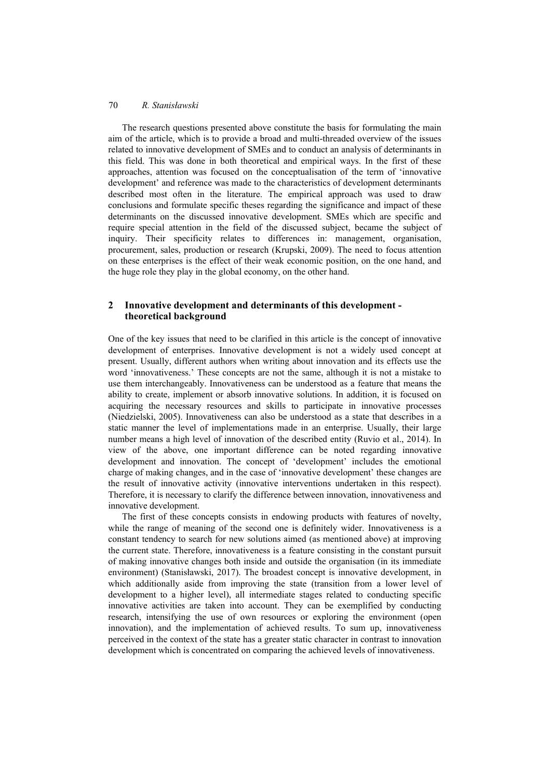The research questions presented above constitute the basis for formulating the main aim of the article, which is to provide a broad and multi-threaded overview of the issues related to innovative development of SMEs and to conduct an analysis of determinants in this field. This was done in both theoretical and empirical ways. In the first of these approaches, attention was focused on the conceptualisation of the term of 'innovative development' and reference was made to the characteristics of development determinants described most often in the literature. The empirical approach was used to draw conclusions and formulate specific theses regarding the significance and impact of these determinants on the discussed innovative development. SMEs which are specific and require special attention in the field of the discussed subject, became the subject of inquiry. Their specificity relates to differences in: management, organisation, procurement, sales, production or research (Krupski, 2009). The need to focus attention on these enterprises is the effect of their weak economic position, on the one hand, and the huge role they play in the global economy, on the other hand.

### **2 Innovative development and determinants of this development theoretical background**

One of the key issues that need to be clarified in this article is the concept of innovative development of enterprises. Innovative development is not a widely used concept at present. Usually, different authors when writing about innovation and its effects use the word 'innovativeness.' These concepts are not the same, although it is not a mistake to use them interchangeably. Innovativeness can be understood as a feature that means the ability to create, implement or absorb innovative solutions. In addition, it is focused on acquiring the necessary resources and skills to participate in innovative processes (Niedzielski, 2005). Innovativeness can also be understood as a state that describes in a static manner the level of implementations made in an enterprise. Usually, their large number means a high level of innovation of the described entity (Ruvio et al., 2014). In view of the above, one important difference can be noted regarding innovative development and innovation. The concept of 'development' includes the emotional charge of making changes, and in the case of 'innovative development' these changes are the result of innovative activity (innovative interventions undertaken in this respect). Therefore, it is necessary to clarify the difference between innovation, innovativeness and innovative development.

The first of these concepts consists in endowing products with features of novelty, while the range of meaning of the second one is definitely wider. Innovativeness is a constant tendency to search for new solutions aimed (as mentioned above) at improving the current state. Therefore, innovativeness is a feature consisting in the constant pursuit of making innovative changes both inside and outside the organisation (in its immediate environment) (Stanisławski, 2017). The broadest concept is innovative development, in which additionally aside from improving the state (transition from a lower level of development to a higher level), all intermediate stages related to conducting specific innovative activities are taken into account. They can be exemplified by conducting research, intensifying the use of own resources or exploring the environment (open innovation), and the implementation of achieved results. To sum up, innovativeness perceived in the context of the state has a greater static character in contrast to innovation development which is concentrated on comparing the achieved levels of innovativeness.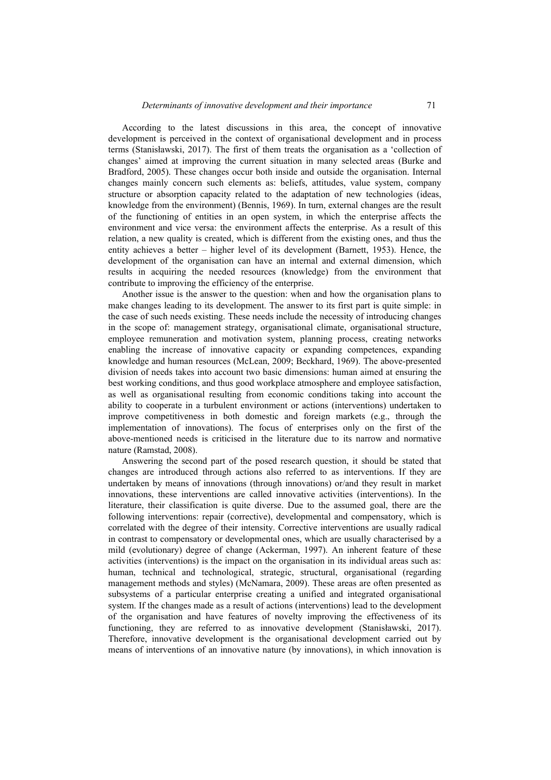According to the latest discussions in this area, the concept of innovative development is perceived in the context of organisational development and in process terms (Stanisławski, 2017). The first of them treats the organisation as a 'collection of changes' aimed at improving the current situation in many selected areas (Burke and Bradford, 2005). These changes occur both inside and outside the organisation. Internal changes mainly concern such elements as: beliefs, attitudes, value system, company structure or absorption capacity related to the adaptation of new technologies (ideas, knowledge from the environment) (Bennis, 1969). In turn, external changes are the result of the functioning of entities in an open system, in which the enterprise affects the environment and vice versa: the environment affects the enterprise. As a result of this relation, a new quality is created, which is different from the existing ones, and thus the entity achieves a better – higher level of its development (Barnett, 1953). Hence, the development of the organisation can have an internal and external dimension, which results in acquiring the needed resources (knowledge) from the environment that contribute to improving the efficiency of the enterprise.

Another issue is the answer to the question: when and how the organisation plans to make changes leading to its development. The answer to its first part is quite simple: in the case of such needs existing. These needs include the necessity of introducing changes in the scope of: management strategy, organisational climate, organisational structure, employee remuneration and motivation system, planning process, creating networks enabling the increase of innovative capacity or expanding competences, expanding knowledge and human resources (McLean, 2009; Beckhard, 1969). The above-presented division of needs takes into account two basic dimensions: human aimed at ensuring the best working conditions, and thus good workplace atmosphere and employee satisfaction, as well as organisational resulting from economic conditions taking into account the ability to cooperate in a turbulent environment or actions (interventions) undertaken to improve competitiveness in both domestic and foreign markets (e.g., through the implementation of innovations). The focus of enterprises only on the first of the above-mentioned needs is criticised in the literature due to its narrow and normative nature (Ramstad, 2008).

Answering the second part of the posed research question, it should be stated that changes are introduced through actions also referred to as interventions. If they are undertaken by means of innovations (through innovations) or/and they result in market innovations, these interventions are called innovative activities (interventions). In the literature, their classification is quite diverse. Due to the assumed goal, there are the following interventions: repair (corrective), developmental and compensatory, which is correlated with the degree of their intensity. Corrective interventions are usually radical in contrast to compensatory or developmental ones, which are usually characterised by a mild (evolutionary) degree of change (Ackerman, 1997). An inherent feature of these activities (interventions) is the impact on the organisation in its individual areas such as: human, technical and technological, strategic, structural, organisational (regarding management methods and styles) (McNamara, 2009). These areas are often presented as subsystems of a particular enterprise creating a unified and integrated organisational system. If the changes made as a result of actions (interventions) lead to the development of the organisation and have features of novelty improving the effectiveness of its functioning, they are referred to as innovative development (Stanisławski, 2017). Therefore, innovative development is the organisational development carried out by means of interventions of an innovative nature (by innovations), in which innovation is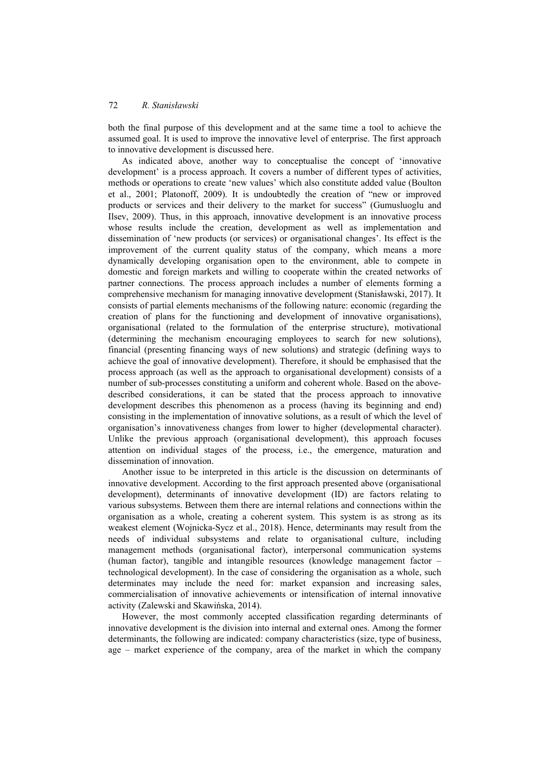both the final purpose of this development and at the same time a tool to achieve the assumed goal. It is used to improve the innovative level of enterprise. The first approach to innovative development is discussed here.

As indicated above, another way to conceptualise the concept of 'innovative development' is a process approach. It covers a number of different types of activities, methods or operations to create 'new values' which also constitute added value (Boulton et al., 2001; Platonoff, 2009). It is undoubtedly the creation of "new or improved products or services and their delivery to the market for success" (Gumusluoglu and Ilsev, 2009). Thus, in this approach, innovative development is an innovative process whose results include the creation, development as well as implementation and dissemination of 'new products (or services) or organisational changes'. Its effect is the improvement of the current quality status of the company, which means a more dynamically developing organisation open to the environment, able to compete in domestic and foreign markets and willing to cooperate within the created networks of partner connections. The process approach includes a number of elements forming a comprehensive mechanism for managing innovative development (Stanisławski, 2017). It consists of partial elements mechanisms of the following nature: economic (regarding the creation of plans for the functioning and development of innovative organisations), organisational (related to the formulation of the enterprise structure), motivational (determining the mechanism encouraging employees to search for new solutions), financial (presenting financing ways of new solutions) and strategic (defining ways to achieve the goal of innovative development). Therefore, it should be emphasised that the process approach (as well as the approach to organisational development) consists of a number of sub-processes constituting a uniform and coherent whole. Based on the abovedescribed considerations, it can be stated that the process approach to innovative development describes this phenomenon as a process (having its beginning and end) consisting in the implementation of innovative solutions, as a result of which the level of organisation's innovativeness changes from lower to higher (developmental character). Unlike the previous approach (organisational development), this approach focuses attention on individual stages of the process, i.e., the emergence, maturation and dissemination of innovation.

Another issue to be interpreted in this article is the discussion on determinants of innovative development. According to the first approach presented above (organisational development), determinants of innovative development (ID) are factors relating to various subsystems. Between them there are internal relations and connections within the organisation as a whole, creating a coherent system. This system is as strong as its weakest element (Wojnicka-Sycz et al., 2018). Hence, determinants may result from the needs of individual subsystems and relate to organisational culture, including management methods (organisational factor), interpersonal communication systems (human factor), tangible and intangible resources (knowledge management factor – technological development). In the case of considering the organisation as a whole, such determinates may include the need for: market expansion and increasing sales, commercialisation of innovative achievements or intensification of internal innovative activity (Zalewski and Skawińska, 2014).

However, the most commonly accepted classification regarding determinants of innovative development is the division into internal and external ones. Among the former determinants, the following are indicated: company characteristics (size, type of business, age – market experience of the company, area of the market in which the company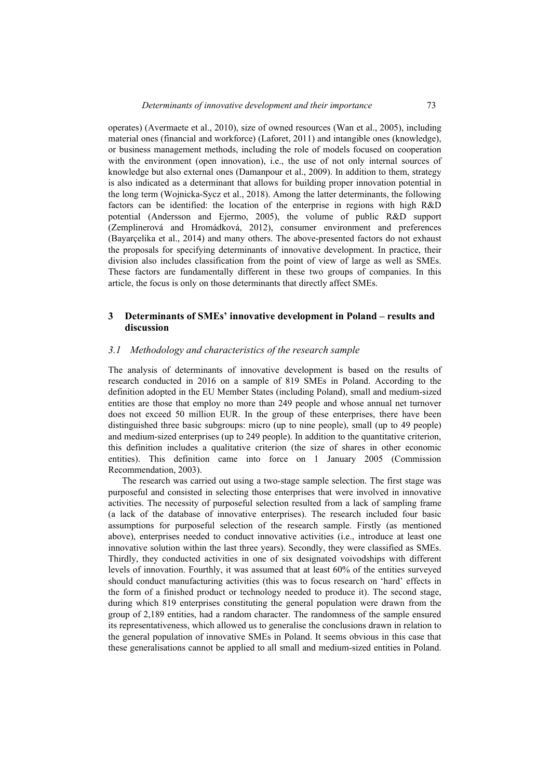operates) (Avermaete et al., 2010), size of owned resources (Wan et al., 2005), including material ones (financial and workforce) (Laforet, 2011) and intangible ones (knowledge), or business management methods, including the role of models focused on cooperation with the environment (open innovation), i.e., the use of not only internal sources of knowledge but also external ones (Damanpour et al., 2009). In addition to them, strategy is also indicated as a determinant that allows for building proper innovation potential in the long term (Wojnicka-Sycz et al., 2018). Among the latter determinants, the following factors can be identified: the location of the enterprise in regions with high R&D potential (Andersson and Ejermo, 2005), the volume of public R&D support (Zemplinerová and Hromádková, 2012), consumer environment and preferences (Bayarçelika et al., 2014) and many others. The above-presented factors do not exhaust the proposals for specifying determinants of innovative development. In practice, their division also includes classification from the point of view of large as well as SMEs. These factors are fundamentally different in these two groups of companies. In this article, the focus is only on those determinants that directly affect SMEs.

### **3** Determinants of SMEs' innovative development in Poland – results and **discussion**

#### *3.1 Methodology and characteristics of the research sample*

The analysis of determinants of innovative development is based on the results of research conducted in 2016 on a sample of 819 SMEs in Poland. According to the definition adopted in the EU Member States (including Poland), small and medium-sized entities are those that employ no more than 249 people and whose annual net turnover does not exceed 50 million EUR. In the group of these enterprises, there have been distinguished three basic subgroups: micro (up to nine people), small (up to 49 people) and medium-sized enterprises (up to 249 people). In addition to the quantitative criterion, this definition includes a qualitative criterion (the size of shares in other economic entities). This definition came into force on 1 January 2005 (Commission Recommendation, 2003).

The research was carried out using a two-stage sample selection. The first stage was purposeful and consisted in selecting those enterprises that were involved in innovative activities. The necessity of purposeful selection resulted from a lack of sampling frame (a lack of the database of innovative enterprises). The research included four basic assumptions for purposeful selection of the research sample. Firstly (as mentioned above), enterprises needed to conduct innovative activities (i.e., introduce at least one innovative solution within the last three years). Secondly, they were classified as SMEs. Thirdly, they conducted activities in one of six designated voivodships with different levels of innovation. Fourthly, it was assumed that at least 60% of the entities surveyed should conduct manufacturing activities (this was to focus research on 'hard' effects in the form of a finished product or technology needed to produce it). The second stage, during which 819 enterprises constituting the general population were drawn from the group of 2,189 entities, had a random character. The randomness of the sample ensured its representativeness, which allowed us to generalise the conclusions drawn in relation to the general population of innovative SMEs in Poland. It seems obvious in this case that these generalisations cannot be applied to all small and medium-sized entities in Poland.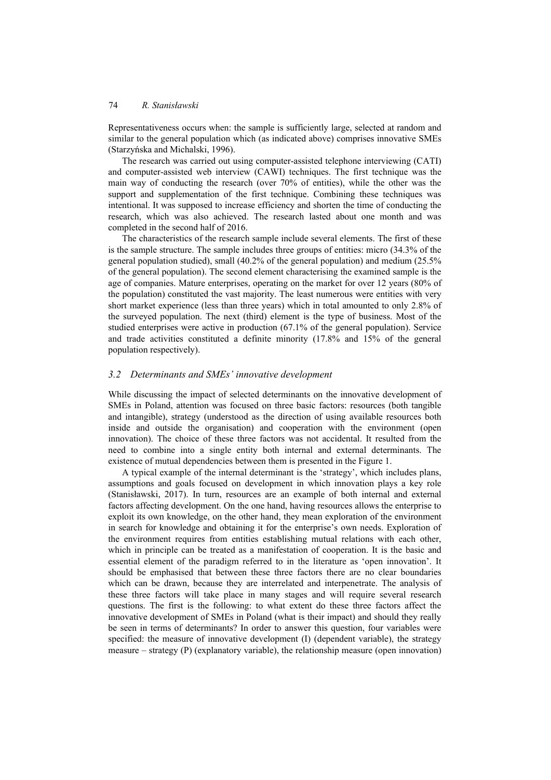Representativeness occurs when: the sample is sufficiently large, selected at random and similar to the general population which (as indicated above) comprises innovative SMEs (Starzyńska and Michalski, 1996).

The research was carried out using computer-assisted telephone interviewing (CATI) and computer-assisted web interview (CAWI) techniques. The first technique was the main way of conducting the research (over 70% of entities), while the other was the support and supplementation of the first technique. Combining these techniques was intentional. It was supposed to increase efficiency and shorten the time of conducting the research, which was also achieved. The research lasted about one month and was completed in the second half of 2016.

The characteristics of the research sample include several elements. The first of these is the sample structure. The sample includes three groups of entities: micro (34.3% of the general population studied), small (40.2% of the general population) and medium (25.5% of the general population). The second element characterising the examined sample is the age of companies. Mature enterprises, operating on the market for over 12 years (80% of the population) constituted the vast majority. The least numerous were entities with very short market experience (less than three years) which in total amounted to only 2.8% of the surveyed population. The next (third) element is the type of business. Most of the studied enterprises were active in production (67.1% of the general population). Service and trade activities constituted a definite minority (17.8% and 15% of the general population respectively).

#### *3.2 Determinants and SMEs' innovative development*

While discussing the impact of selected determinants on the innovative development of SMEs in Poland, attention was focused on three basic factors: resources (both tangible and intangible), strategy (understood as the direction of using available resources both inside and outside the organisation) and cooperation with the environment (open innovation). The choice of these three factors was not accidental. It resulted from the need to combine into a single entity both internal and external determinants. The existence of mutual dependencies between them is presented in the Figure 1.

A typical example of the internal determinant is the 'strategy', which includes plans, assumptions and goals focused on development in which innovation plays a key role (Stanisławski, 2017). In turn, resources are an example of both internal and external factors affecting development. On the one hand, having resources allows the enterprise to exploit its own knowledge, on the other hand, they mean exploration of the environment in search for knowledge and obtaining it for the enterprise's own needs. Exploration of the environment requires from entities establishing mutual relations with each other, which in principle can be treated as a manifestation of cooperation. It is the basic and essential element of the paradigm referred to in the literature as 'open innovation'. It should be emphasised that between these three factors there are no clear boundaries which can be drawn, because they are interrelated and interpenetrate. The analysis of these three factors will take place in many stages and will require several research questions. The first is the following: to what extent do these three factors affect the innovative development of SMEs in Poland (what is their impact) and should they really be seen in terms of determinants? In order to answer this question, four variables were specified: the measure of innovative development (I) (dependent variable), the strategy measure  $-$  strategy (P) (explanatory variable), the relationship measure (open innovation)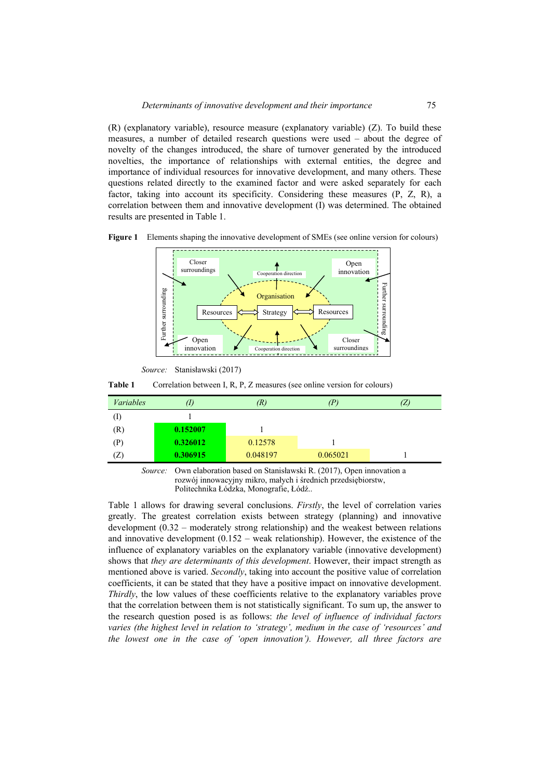(R) (explanatory variable), resource measure (explanatory variable) (Z). To build these measures, a number of detailed research questions were used – about the degree of novelty of the changes introduced, the share of turnover generated by the introduced novelties, the importance of relationships with external entities, the degree and importance of individual resources for innovative development, and many others. These questions related directly to the examined factor and were asked separately for each factor, taking into account its specificity. Considering these measures (P, Z, R), a correlation between them and innovative development (I) was determined. The obtained results are presented in Table 1.



**Figure 1** Elements shaping the innovative development of SMEs (see online version for colours)

*Source:* Stanisławski (2017)

| <b>Table 1</b> |  | Correlation between I, R, P, Z measures (see online version for colours) |  |  |  |
|----------------|--|--------------------------------------------------------------------------|--|--|--|
|----------------|--|--------------------------------------------------------------------------|--|--|--|

| <i>Variables</i> | (1)      | (R)      | (P)      | (Z) |
|------------------|----------|----------|----------|-----|
| (I)              |          |          |          |     |
| (R)              | 0.152007 |          |          |     |
| (P)              | 0.326012 | 0.12578  |          |     |
| (Z)              | 0.306915 | 0.048197 | 0.065021 |     |

*Source:* Own elaboration based on Stanisławski R. (2017), Open innovation a rozwój innowacyjny mikro, małych i średnich przedsiębiorstw, Politechnika Łódzka, Monografie, Łódź..

Table 1 allows for drawing several conclusions. *Firstly*, the level of correlation varies greatly. The greatest correlation exists between strategy (planning) and innovative development  $(0.32 -$  moderately strong relationship) and the weakest between relations and innovative development  $(0.152 - weak relationship)$ . However, the existence of the influence of explanatory variables on the explanatory variable (innovative development) shows that *they are determinants of this development*. However, their impact strength as mentioned above is varied. *Secondly*, taking into account the positive value of correlation coefficients, it can be stated that they have a positive impact on innovative development. *Thirdly*, the low values of these coefficients relative to the explanatory variables prove that the correlation between them is not statistically significant. To sum up, the answer to the research question posed is as follows: *the level of influence of individual factors varies (the highest level in relation to 'strategy', medium in the case of 'resources' and the lowest one in the case of 'open innovation'). However, all three factors are*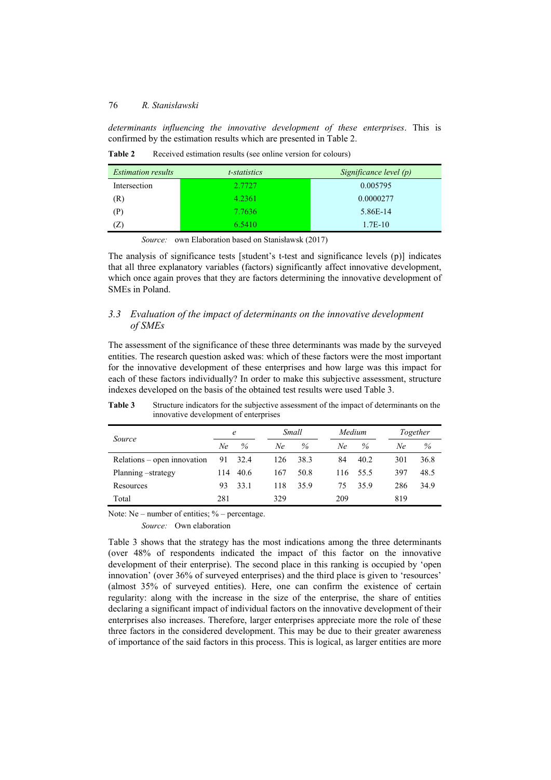*determinants influencing the innovative development of these enterprises*. This is confirmed by the estimation results which are presented in Table 2.

| <b>Estimation results</b> | t-statistics | Significance level $(p)$ |
|---------------------------|--------------|--------------------------|
| Intersection              | 2.7727       | 0.005795                 |
| (R)                       | 4.2361       | 0.0000277                |
| (P)                       | 7.7636       | 5.86E-14                 |
| (Z)                       | 6.5410       | $1.7E-10$                |

**Table 2** Received estimation results (see online version for colours)

*Source:* own Elaboration based on Stanisławsk (2017)

The analysis of significance tests [student's t-test and significance levels (p)] indicates that all three explanatory variables (factors) significantly affect innovative development, which once again proves that they are factors determining the innovative development of SMEs in Poland.

### *3.3 Evaluation of the impact of determinants on the innovative development of SMEs*

The assessment of the significance of these three determinants was made by the surveyed entities. The research question asked was: which of these factors were the most important for the innovative development of these enterprises and how large was this impact for each of these factors individually? In order to make this subjective assessment, structure indexes developed on the basis of the obtained test results were used Table 3.

|                             |     | e        |     | Small |     | Medium   |     | Together |  |
|-----------------------------|-----|----------|-----|-------|-----|----------|-----|----------|--|
| Source                      | Ne  | $\%$     | Ne  | $\%$  | Ne  | $\%$     | Ne  | %        |  |
| Relations – open innovation | 91  | 32.4     | 126 | 38.3  | 84  | 40.2     | 301 | 36.8     |  |
| Planning-strategy           |     | 114 40.6 | 167 | 50.8  |     | 116 55.5 | 397 | 48.5     |  |
| Resources                   | 93  | 33.1     | 118 | 35.9  | 75. | 35.9     | 286 | 34.9     |  |
| Total                       | 281 |          | 329 |       | 209 |          | 819 |          |  |

**Table 3** Structure indicators for the subjective assessment of the impact of determinants on the innovative development of enterprises

Note:  $Ne$  – number of entities;  $%$  – percentage.

*Source:* Own elaboration

Table 3 shows that the strategy has the most indications among the three determinants (over 48% of respondents indicated the impact of this factor on the innovative development of their enterprise). The second place in this ranking is occupied by 'open innovation' (over 36% of surveyed enterprises) and the third place is given to 'resources' (almost 35% of surveyed entities). Here, one can confirm the existence of certain regularity: along with the increase in the size of the enterprise, the share of entities declaring a significant impact of individual factors on the innovative development of their enterprises also increases. Therefore, larger enterprises appreciate more the role of these three factors in the considered development. This may be due to their greater awareness of importance of the said factors in this process. This is logical, as larger entities are more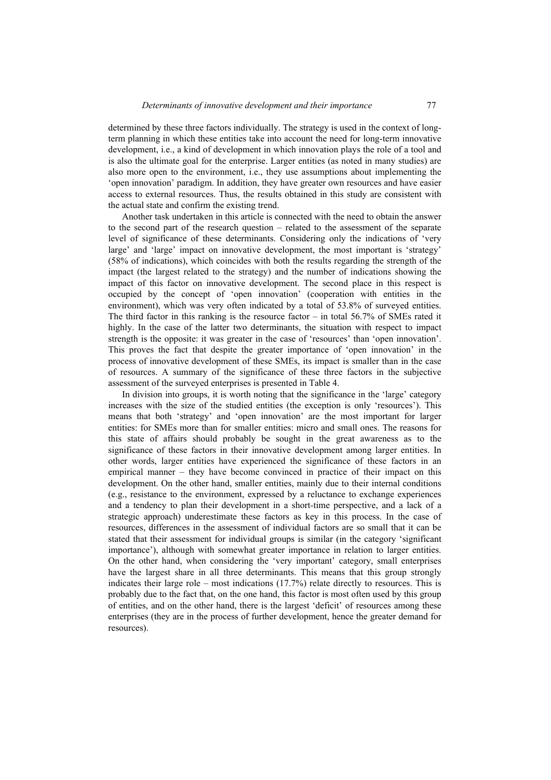determined by these three factors individually. The strategy is used in the context of longterm planning in which these entities take into account the need for long-term innovative development, i.e., a kind of development in which innovation plays the role of a tool and is also the ultimate goal for the enterprise. Larger entities (as noted in many studies) are also more open to the environment, i.e., they use assumptions about implementing the 'open innovation' paradigm. In addition, they have greater own resources and have easier access to external resources. Thus, the results obtained in this study are consistent with the actual state and confirm the existing trend.

Another task undertaken in this article is connected with the need to obtain the answer to the second part of the research question ‒ related to the assessment of the separate level of significance of these determinants. Considering only the indications of 'very large' and 'large' impact on innovative development, the most important is 'strategy' (58% of indications), which coincides with both the results regarding the strength of the impact (the largest related to the strategy) and the number of indications showing the impact of this factor on innovative development. The second place in this respect is occupied by the concept of 'open innovation' (cooperation with entities in the environment), which was very often indicated by a total of 53.8% of surveyed entities. The third factor in this ranking is the resource factor  $-$  in total 56.7% of SMEs rated it highly. In the case of the latter two determinants, the situation with respect to impact strength is the opposite: it was greater in the case of 'resources' than 'open innovation'. This proves the fact that despite the greater importance of 'open innovation' in the process of innovative development of these SMEs, its impact is smaller than in the case of resources. A summary of the significance of these three factors in the subjective assessment of the surveyed enterprises is presented in Table 4.

In division into groups, it is worth noting that the significance in the 'large' category increases with the size of the studied entities (the exception is only 'resources'). This means that both 'strategy' and 'open innovation' are the most important for larger entities: for SMEs more than for smaller entities: micro and small ones. The reasons for this state of affairs should probably be sought in the great awareness as to the significance of these factors in their innovative development among larger entities. In other words, larger entities have experienced the significance of these factors in an empirical manner  $-$  they have become convinced in practice of their impact on this development. On the other hand, smaller entities, mainly due to their internal conditions (e.g., resistance to the environment, expressed by a reluctance to exchange experiences and a tendency to plan their development in a short-time perspective, and a lack of a strategic approach) underestimate these factors as key in this process. In the case of resources, differences in the assessment of individual factors are so small that it can be stated that their assessment for individual groups is similar (in the category 'significant importance'), although with somewhat greater importance in relation to larger entities. On the other hand, when considering the 'very important' category, small enterprises have the largest share in all three determinants. This means that this group strongly indicates their large role  $-$  most indications (17.7%) relate directly to resources. This is probably due to the fact that, on the one hand, this factor is most often used by this group of entities, and on the other hand, there is the largest 'deficit' of resources among these enterprises (they are in the process of further development, hence the greater demand for resources).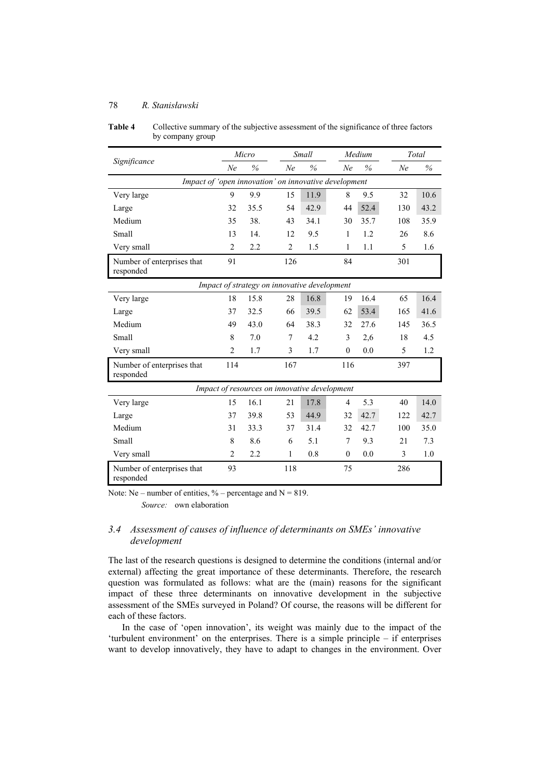#### 78 *R. Stanisławski*

|                                                       |                | Micro         |                                               | <b>Small</b>  |                | Medium        |     | Total         |  |  |  |
|-------------------------------------------------------|----------------|---------------|-----------------------------------------------|---------------|----------------|---------------|-----|---------------|--|--|--|
| Significance                                          | Ne             | $\frac{0}{0}$ | Ne                                            | $\frac{0}{6}$ | Ne             | $\frac{0}{6}$ | Ne  | $\frac{0}{6}$ |  |  |  |
| Impact of 'open innovation' on innovative development |                |               |                                               |               |                |               |     |               |  |  |  |
| Very large                                            | 9              | 9.9           | 15                                            | 11.9          | 8              | 9.5           | 32  | 10.6          |  |  |  |
| Large                                                 | 32             | 35.5          | 54                                            | 42.9          | 44             | 52.4          | 130 | 43.2          |  |  |  |
| Medium                                                | 35             | 38.           | 43                                            | 34.1          | 30             | 35.7          | 108 | 35.9          |  |  |  |
| Small                                                 | 13             | 14.           | 12                                            | 9.5           | 1              | 1.2           | 26  | 8.6           |  |  |  |
| Very small                                            | $\overline{2}$ | 2.2           | $\overline{2}$                                | 1.5           | 1              | 1.1           | 5   | 1.6           |  |  |  |
| Number of enterprises that<br>responded               | 91             |               | 126                                           |               | 84             |               | 301 |               |  |  |  |
| Impact of strategy on innovative development          |                |               |                                               |               |                |               |     |               |  |  |  |
| Very large                                            | 18             | 15.8          | 28                                            | 16.8          | 19             | 16.4          | 65  | 16.4          |  |  |  |
| Large                                                 | 37             | 32.5          | 66                                            | 39.5          | 62             | 53.4          | 165 | 41.6          |  |  |  |
| Medium                                                | 49             | 43.0          | 64                                            | 38.3          | 32             | 27.6          | 145 | 36.5          |  |  |  |
| Small                                                 | 8              | 7.0           | 7                                             | 4.2           | 3              | 2,6           | 18  | 4.5           |  |  |  |
| Very small                                            | $\overline{2}$ | 1.7           | 3                                             | 1.7           | $\theta$       | 0.0           | 5   | 1.2           |  |  |  |
| Number of enterprises that<br>responded               | 114            |               | 167                                           |               | 116            |               | 397 |               |  |  |  |
|                                                       |                |               | Impact of resources on innovative development |               |                |               |     |               |  |  |  |
| Very large                                            | 15             | 16.1          | 21                                            | 17.8          | $\overline{4}$ | 5.3           | 40  | 14.0          |  |  |  |
| Large                                                 | 37             | 39.8          | 53                                            | 44.9          | 32             | 42.7          | 122 | 42.7          |  |  |  |
| Medium                                                | 31             | 33.3          | 37                                            | 31.4          | 32             | 42.7          | 100 | 35.0          |  |  |  |
| Small                                                 | 8              | 8.6           | 6                                             | 5.1           | 7              | 9.3           | 21  | 7.3           |  |  |  |
| Very small                                            | $\overline{2}$ | 2.2           | 1                                             | 0.8           | $\mathbf{0}$   | 0.0           | 3   | 1.0           |  |  |  |
| Number of enterprises that<br>responded               | 93             |               | 118                                           |               | 75             |               | 286 |               |  |  |  |

**Table 4** Collective summary of the subjective assessment of the significance of three factors by company group

Note: Ne – number of entities, % – percentage and  $N = 819$ .

*Source:* own elaboration

#### *3.4 Assessment of causes of influence of determinants on SMEs' innovative development*

The last of the research questions is designed to determine the conditions (internal and/or external) affecting the great importance of these determinants. Therefore, the research question was formulated as follows: what are the (main) reasons for the significant impact of these three determinants on innovative development in the subjective assessment of the SMEs surveyed in Poland? Of course, the reasons will be different for each of these factors.

In the case of 'open innovation', its weight was mainly due to the impact of the 'turbulent environment' on the enterprises. There is a simple principle – if enterprises want to develop innovatively, they have to adapt to changes in the environment. Over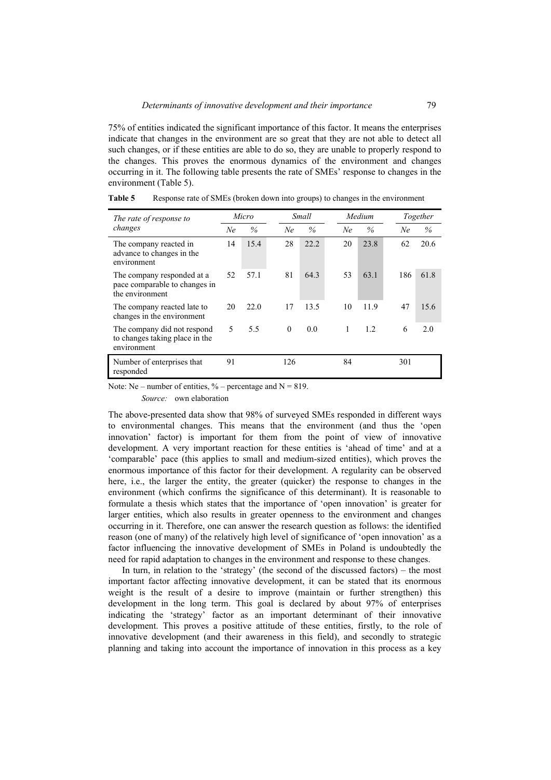75% of entities indicated the significant importance of this factor. It means the enterprises indicate that changes in the environment are so great that they are not able to detect all such changes, or if these entities are able to do so, they are unable to properly respond to the changes. This proves the enormous dynamics of the environment and changes occurring in it. The following table presents the rate of SMEs' response to changes in the environment (Table 5).

| The rate of response to                                                        | Micro |      |          | Small |      |  | Medium       |      |  | Together |      |
|--------------------------------------------------------------------------------|-------|------|----------|-------|------|--|--------------|------|--|----------|------|
| changes                                                                        | Ne    | $\%$ | Ne       |       | $\%$ |  | Ne           | $\%$ |  | Ne       | $\%$ |
| The company reacted in<br>advance to changes in the<br>environment             | 14    | 15.4 | 28       |       | 22.2 |  | 20           | 23.8 |  | 62       | 20.6 |
| The company responded at a<br>pace comparable to changes in<br>the environment | 52    | 57.1 | 81       |       | 64.3 |  | 53           | 63.1 |  | 186      | 61.8 |
| The company reacted late to<br>changes in the environment                      | 20    | 22.0 | 17       |       | 13.5 |  | 10           | 11.9 |  | 47       | 15.6 |
| The company did not respond<br>to changes taking place in the<br>environment   | 5     | 5.5  | $\theta$ |       | 0.0  |  | $\mathbf{1}$ | 1.2  |  | 6        | 2.0  |
| Number of enterprises that<br>responded                                        | 91    |      | 126      |       |      |  | 84           |      |  | 301      |      |

**Table 5** Response rate of SMEs (broken down into groups) to changes in the environment

Note: Ne – number of entities, % – percentage and  $N = 819$ .

*Source:* own elaboration

The above-presented data show that 98% of surveyed SMEs responded in different ways to environmental changes. This means that the environment (and thus the 'open innovation' factor) is important for them from the point of view of innovative development. A very important reaction for these entities is 'ahead of time' and at a 'comparable' pace (this applies to small and medium-sized entities), which proves the enormous importance of this factor for their development. A regularity can be observed here, i.e., the larger the entity, the greater (quicker) the response to changes in the environment (which confirms the significance of this determinant). It is reasonable to formulate a thesis which states that the importance of 'open innovation' is greater for larger entities, which also results in greater openness to the environment and changes occurring in it. Therefore, one can answer the research question as follows: the identified reason (one of many) of the relatively high level of significance of 'open innovation' as a factor influencing the innovative development of SMEs in Poland is undoubtedly the need for rapid adaptation to changes in the environment and response to these changes.

In turn, in relation to the 'strategy' (the second of the discussed factors)  $-$  the most important factor affecting innovative development, it can be stated that its enormous weight is the result of a desire to improve (maintain or further strengthen) this development in the long term. This goal is declared by about 97% of enterprises indicating the 'strategy' factor as an important determinant of their innovative development. This proves a positive attitude of these entities, firstly, to the role of innovative development (and their awareness in this field), and secondly to strategic planning and taking into account the importance of innovation in this process as a key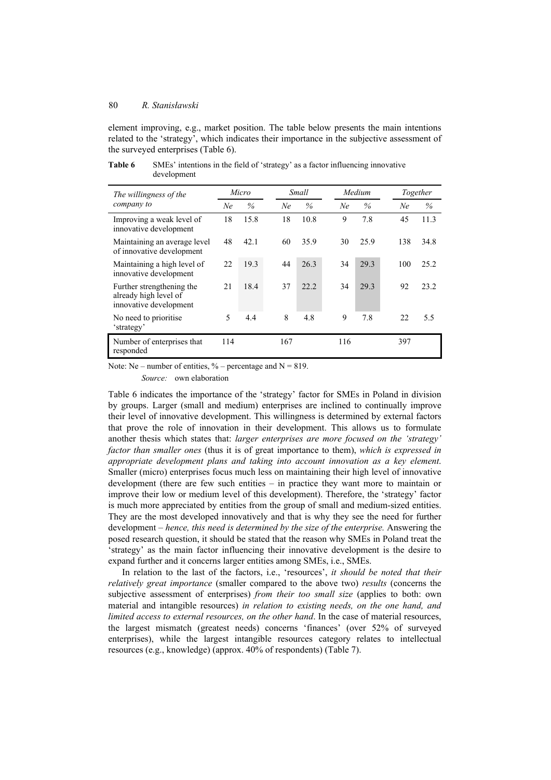element improving, e.g., market position. The table below presents the main intentions related to the 'strategy', which indicates their importance in the subjective assessment of the surveyed enterprises (Table 6).

| The willingness of the                                                       | Micro |      |     | Small         |     | Medium |     | Together |
|------------------------------------------------------------------------------|-------|------|-----|---------------|-----|--------|-----|----------|
| company to                                                                   | Ne    | $\%$ | Ne  | $\frac{0}{6}$ | Ne  | $\%$   | Ne  | $\%$     |
| Improving a weak level of<br>innovative development                          | 18    | 15.8 | 18  | 10.8          | 9   | 7.8    | 45  | 11.3     |
| Maintaining an average level<br>of innovative development                    | 48    | 42.1 | 60  | 35.9          | 30  | 25.9   | 138 | 34.8     |
| Maintaining a high level of<br>innovative development                        | 22    | 19.3 | 44  | 26.3          | 34  | 29.3   | 100 | 25.2     |
| Further strengthening the<br>already high level of<br>innovative development | 21    | 18.4 | 37  | 22.2          | 34  | 29.3   | 92  | 23.2     |
| No need to prioritise<br>'strategy'                                          | 5     | 4.4  | 8   | 4.8           | 9   | 7.8    | 22  | 5.5      |
| Number of enterprises that<br>responded                                      | 114   |      | 167 |               | 116 |        | 397 |          |

**Table 6** SMEs' intentions in the field of 'strategy' as a factor influencing innovative development

Note: Ne – number of entities,  $%$  – percentage and N = 819.

*Source:* own elaboration

Table 6 indicates the importance of the 'strategy' factor for SMEs in Poland in division by groups. Larger (small and medium) enterprises are inclined to continually improve their level of innovative development. This willingness is determined by external factors that prove the role of innovation in their development. This allows us to formulate another thesis which states that: *larger enterprises are more focused on the 'strategy' factor than smaller ones* (thus it is of great importance to them), *which is expressed in appropriate development plans and taking into account innovation as a key element*. Smaller (micro) enterprises focus much less on maintaining their high level of innovative development (there are few such entities  $-$  in practice they want more to maintain or improve their low or medium level of this development). Therefore, the 'strategy' factor is much more appreciated by entities from the group of small and medium-sized entities. They are the most developed innovatively and that is why they see the need for further development – *hence, this need is determined by the size of the enterprise*. Answering the posed research question, it should be stated that the reason why SMEs in Poland treat the 'strategy' as the main factor influencing their innovative development is the desire to expand further and it concerns larger entities among SMEs, i.e., SMEs.

In relation to the last of the factors, i.e., 'resources', *it should be noted that their relatively great importance* (smaller compared to the above two) *results* (concerns the subjective assessment of enterprises) *from their too small size* (applies to both: own material and intangible resources) *in relation to existing needs, on the one hand, and limited access to external resources, on the other hand*. In the case of material resources, the largest mismatch (greatest needs) concerns 'finances' (over 52% of surveyed enterprises), while the largest intangible resources category relates to intellectual resources (e.g., knowledge) (approx. 40% of respondents) (Table 7).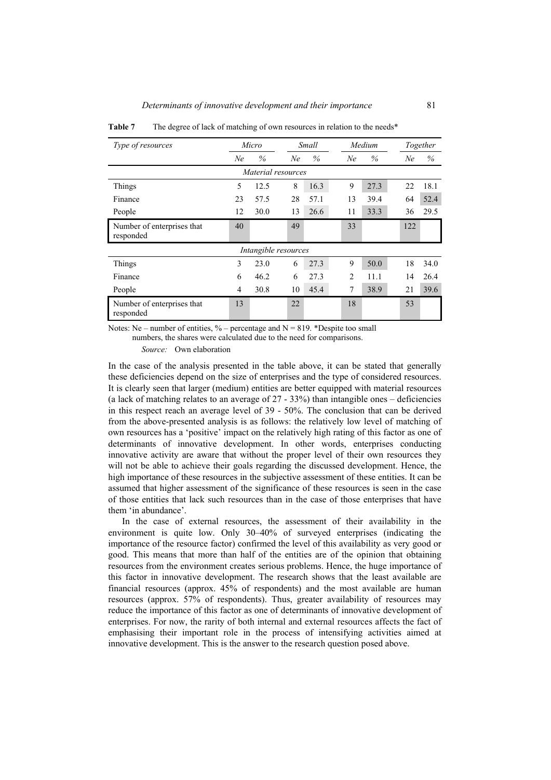| Type of resources                       | Micro |                      |    | Small |                | Medium | Together |      |  |  |
|-----------------------------------------|-------|----------------------|----|-------|----------------|--------|----------|------|--|--|
|                                         | Ne    | $\%$                 | Ne | $\%$  | Ne             | $\%$   | Ne       | $\%$ |  |  |
| Material resources                      |       |                      |    |       |                |        |          |      |  |  |
| Things                                  | 5     | 12.5                 | 8  | 16.3  | 9              | 27.3   | 22       | 18.1 |  |  |
| Finance                                 | 23    | 57.5                 | 28 | 57.1  | 13             | 39.4   | 64       | 52.4 |  |  |
| People                                  | 12    | 30.0                 | 13 | 26.6  | 11             | 33.3   | 36       | 29.5 |  |  |
| Number of enterprises that<br>responded | 40    |                      | 49 |       | 33             |        | 122      |      |  |  |
|                                         |       | Intangible resources |    |       |                |        |          |      |  |  |
| Things                                  | 3     | 23.0                 | 6  | 27.3  | 9              | 50.0   | 18       | 34.0 |  |  |
| Finance                                 | 6     | 46.2                 | 6  | 27.3  | $\mathfrak{D}$ | 11.1   | 14       | 26.4 |  |  |
| People                                  | 4     | 30.8                 | 10 | 45.4  | 7              | 38.9   | 21       | 39.6 |  |  |
| Number of enterprises that<br>responded | 13    |                      | 22 |       | 18             |        | 53       |      |  |  |

Table 7 The degree of lack of matching of own resources in relation to the needs<sup>\*</sup>

Notes: Ne – number of entities, % – percentage and  $N = 819$ . \*Despite too small numbers, the shares were calculated due to the need for comparisons.

*Source:* Own elaboration

In the case of the analysis presented in the table above, it can be stated that generally these deficiencies depend on the size of enterprises and the type of considered resources. It is clearly seen that larger (medium) entities are better equipped with material resources (a lack of matching relates to an average of  $27 - 33\%$ ) than intangible ones – deficiencies in this respect reach an average level of 39 - 50%. The conclusion that can be derived from the above-presented analysis is as follows: the relatively low level of matching of own resources has a 'positive' impact on the relatively high rating of this factor as one of determinants of innovative development. In other words, enterprises conducting innovative activity are aware that without the proper level of their own resources they will not be able to achieve their goals regarding the discussed development. Hence, the high importance of these resources in the subjective assessment of these entities. It can be assumed that higher assessment of the significance of these resources is seen in the case of those entities that lack such resources than in the case of those enterprises that have them 'in abundance'.

In the case of external resources, the assessment of their availability in the environment is quite low. Only 30–40% of surveyed enterprises (indicating the importance of the resource factor) confirmed the level of this availability as very good or good. This means that more than half of the entities are of the opinion that obtaining resources from the environment creates serious problems. Hence, the huge importance of this factor in innovative development. The research shows that the least available are financial resources (approx. 45% of respondents) and the most available are human resources (approx. 57% of respondents). Thus, greater availability of resources may reduce the importance of this factor as one of determinants of innovative development of enterprises. For now, the rarity of both internal and external resources affects the fact of emphasising their important role in the process of intensifying activities aimed at innovative development. This is the answer to the research question posed above.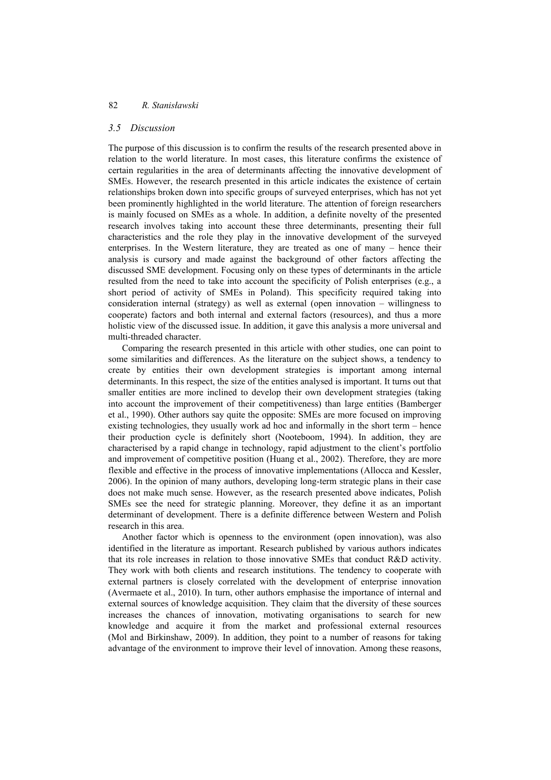### *3.5 Discussion*

The purpose of this discussion is to confirm the results of the research presented above in relation to the world literature. In most cases, this literature confirms the existence of certain regularities in the area of determinants affecting the innovative development of SMEs. However, the research presented in this article indicates the existence of certain relationships broken down into specific groups of surveyed enterprises, which has not yet been prominently highlighted in the world literature. The attention of foreign researchers is mainly focused on SMEs as a whole. In addition, a definite novelty of the presented research involves taking into account these three determinants, presenting their full characteristics and the role they play in the innovative development of the surveyed enterprises. In the Western literature, they are treated as one of many  $-$  hence their analysis is cursory and made against the background of other factors affecting the discussed SME development. Focusing only on these types of determinants in the article resulted from the need to take into account the specificity of Polish enterprises (e.g., a short period of activity of SMEs in Poland). This specificity required taking into consideration internal (strategy) as well as external (open innovation  $-$  willingness to cooperate) factors and both internal and external factors (resources), and thus a more holistic view of the discussed issue. In addition, it gave this analysis a more universal and multi-threaded character.

Comparing the research presented in this article with other studies, one can point to some similarities and differences. As the literature on the subject shows, a tendency to create by entities their own development strategies is important among internal determinants. In this respect, the size of the entities analysed is important. It turns out that smaller entities are more inclined to develop their own development strategies (taking into account the improvement of their competitiveness) than large entities (Bamberger et al., 1990). Other authors say quite the opposite: SMEs are more focused on improving existing technologies, they usually work ad hoc and informally in the short term  $-$  hence their production cycle is definitely short (Nooteboom, 1994). In addition, they are characterised by a rapid change in technology, rapid adjustment to the client's portfolio and improvement of competitive position (Huang et al., 2002). Therefore, they are more flexible and effective in the process of innovative implementations (Allocca and Kessler, 2006). In the opinion of many authors, developing long-term strategic plans in their case does not make much sense. However, as the research presented above indicates, Polish SMEs see the need for strategic planning. Moreover, they define it as an important determinant of development. There is a definite difference between Western and Polish research in this area.

Another factor which is openness to the environment (open innovation), was also identified in the literature as important. Research published by various authors indicates that its role increases in relation to those innovative SMEs that conduct R&D activity. They work with both clients and research institutions. The tendency to cooperate with external partners is closely correlated with the development of enterprise innovation (Avermaete et al., 2010). In turn, other authors emphasise the importance of internal and external sources of knowledge acquisition. They claim that the diversity of these sources increases the chances of innovation, motivating organisations to search for new knowledge and acquire it from the market and professional external resources (Mol and Birkinshaw, 2009). In addition, they point to a number of reasons for taking advantage of the environment to improve their level of innovation. Among these reasons,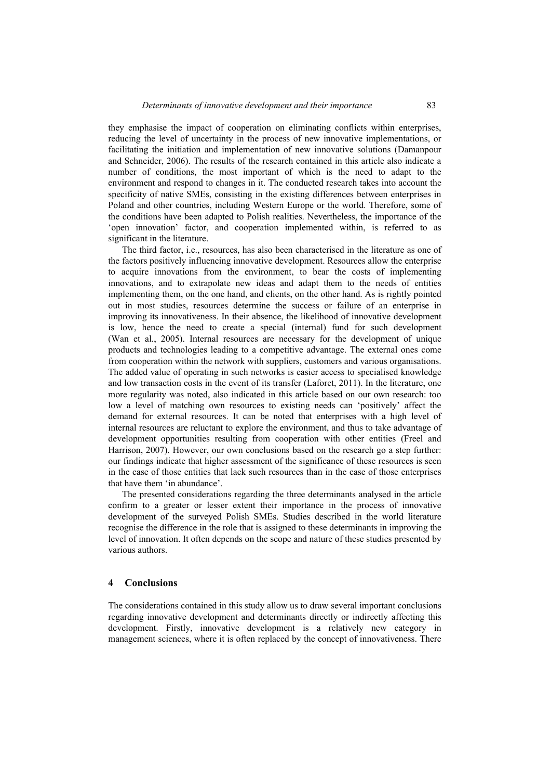they emphasise the impact of cooperation on eliminating conflicts within enterprises, reducing the level of uncertainty in the process of new innovative implementations, or facilitating the initiation and implementation of new innovative solutions (Damanpour and Schneider, 2006). The results of the research contained in this article also indicate a number of conditions, the most important of which is the need to adapt to the environment and respond to changes in it. The conducted research takes into account the specificity of native SMEs, consisting in the existing differences between enterprises in Poland and other countries, including Western Europe or the world. Therefore, some of the conditions have been adapted to Polish realities. Nevertheless, the importance of the 'open innovation' factor, and cooperation implemented within, is referred to as significant in the literature.

The third factor, i.e., resources, has also been characterised in the literature as one of the factors positively influencing innovative development. Resources allow the enterprise to acquire innovations from the environment, to bear the costs of implementing innovations, and to extrapolate new ideas and adapt them to the needs of entities implementing them, on the one hand, and clients, on the other hand. As is rightly pointed out in most studies, resources determine the success or failure of an enterprise in improving its innovativeness. In their absence, the likelihood of innovative development is low, hence the need to create a special (internal) fund for such development (Wan et al., 2005). Internal resources are necessary for the development of unique products and technologies leading to a competitive advantage. The external ones come from cooperation within the network with suppliers, customers and various organisations. The added value of operating in such networks is easier access to specialised knowledge and low transaction costs in the event of its transfer (Laforet, 2011). In the literature, one more regularity was noted, also indicated in this article based on our own research: too low a level of matching own resources to existing needs can 'positively' affect the demand for external resources. It can be noted that enterprises with a high level of internal resources are reluctant to explore the environment, and thus to take advantage of development opportunities resulting from cooperation with other entities (Freel and Harrison, 2007). However, our own conclusions based on the research go a step further: our findings indicate that higher assessment of the significance of these resources is seen in the case of those entities that lack such resources than in the case of those enterprises that have them 'in abundance'.

The presented considerations regarding the three determinants analysed in the article confirm to a greater or lesser extent their importance in the process of innovative development of the surveyed Polish SMEs. Studies described in the world literature recognise the difference in the role that is assigned to these determinants in improving the level of innovation. It often depends on the scope and nature of these studies presented by various authors.

#### **4 Conclusions**

The considerations contained in this study allow us to draw several important conclusions regarding innovative development and determinants directly or indirectly affecting this development. Firstly, innovative development is a relatively new category in management sciences, where it is often replaced by the concept of innovativeness. There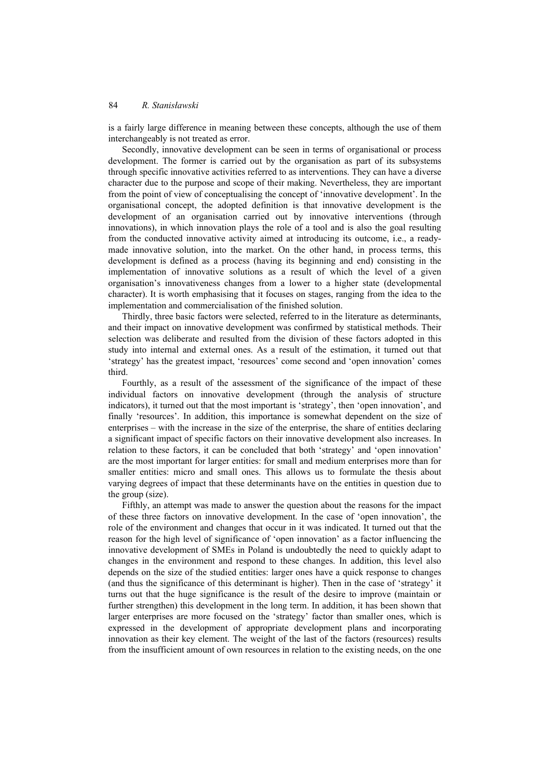is a fairly large difference in meaning between these concepts, although the use of them interchangeably is not treated as error.

Secondly, innovative development can be seen in terms of organisational or process development. The former is carried out by the organisation as part of its subsystems through specific innovative activities referred to as interventions. They can have a diverse character due to the purpose and scope of their making. Nevertheless, they are important from the point of view of conceptualising the concept of 'innovative development'. In the organisational concept, the adopted definition is that innovative development is the development of an organisation carried out by innovative interventions (through innovations), in which innovation plays the role of a tool and is also the goal resulting from the conducted innovative activity aimed at introducing its outcome, i.e., a readymade innovative solution, into the market. On the other hand, in process terms, this development is defined as a process (having its beginning and end) consisting in the implementation of innovative solutions as a result of which the level of a given organisation's innovativeness changes from a lower to a higher state (developmental character). It is worth emphasising that it focuses on stages, ranging from the idea to the implementation and commercialisation of the finished solution.

Thirdly, three basic factors were selected, referred to in the literature as determinants, and their impact on innovative development was confirmed by statistical methods. Their selection was deliberate and resulted from the division of these factors adopted in this study into internal and external ones. As a result of the estimation, it turned out that 'strategy' has the greatest impact, 'resources' come second and 'open innovation' comes third.

Fourthly, as a result of the assessment of the significance of the impact of these individual factors on innovative development (through the analysis of structure indicators), it turned out that the most important is 'strategy', then 'open innovation', and finally 'resources'. In addition, this importance is somewhat dependent on the size of enterprises – with the increase in the size of the enterprise, the share of entities declaring a significant impact of specific factors on their innovative development also increases. In relation to these factors, it can be concluded that both 'strategy' and 'open innovation' are the most important for larger entities: for small and medium enterprises more than for smaller entities: micro and small ones. This allows us to formulate the thesis about varying degrees of impact that these determinants have on the entities in question due to the group (size).

Fifthly, an attempt was made to answer the question about the reasons for the impact of these three factors on innovative development. In the case of 'open innovation', the role of the environment and changes that occur in it was indicated. It turned out that the reason for the high level of significance of 'open innovation' as a factor influencing the innovative development of SMEs in Poland is undoubtedly the need to quickly adapt to changes in the environment and respond to these changes. In addition, this level also depends on the size of the studied entities: larger ones have a quick response to changes (and thus the significance of this determinant is higher). Then in the case of 'strategy' it turns out that the huge significance is the result of the desire to improve (maintain or further strengthen) this development in the long term. In addition, it has been shown that larger enterprises are more focused on the 'strategy' factor than smaller ones, which is expressed in the development of appropriate development plans and incorporating innovation as their key element. The weight of the last of the factors (resources) results from the insufficient amount of own resources in relation to the existing needs, on the one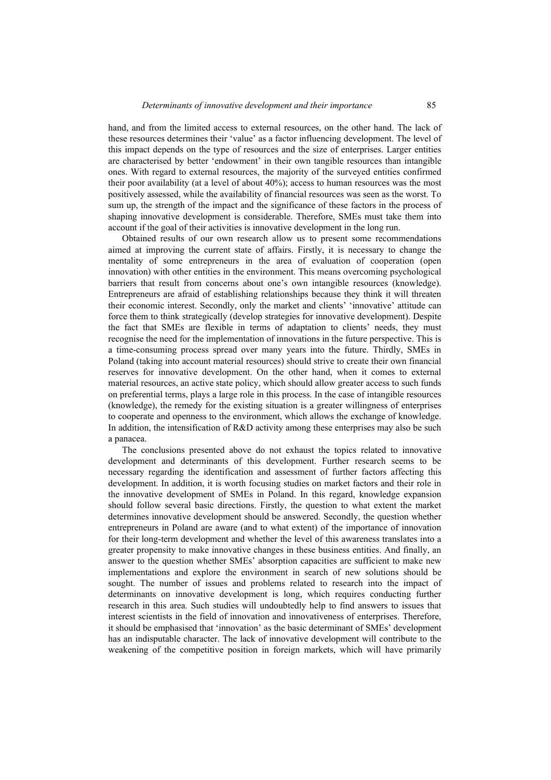hand, and from the limited access to external resources, on the other hand. The lack of these resources determines their 'value' as a factor influencing development. The level of this impact depends on the type of resources and the size of enterprises. Larger entities are characterised by better 'endowment' in their own tangible resources than intangible ones. With regard to external resources, the majority of the surveyed entities confirmed their poor availability (at a level of about 40%); access to human resources was the most positively assessed, while the availability of financial resources was seen as the worst. To sum up, the strength of the impact and the significance of these factors in the process of shaping innovative development is considerable. Therefore, SMEs must take them into account if the goal of their activities is innovative development in the long run.

Obtained results of our own research allow us to present some recommendations aimed at improving the current state of affairs. Firstly, it is necessary to change the mentality of some entrepreneurs in the area of evaluation of cooperation (open innovation) with other entities in the environment. This means overcoming psychological barriers that result from concerns about one's own intangible resources (knowledge). Entrepreneurs are afraid of establishing relationships because they think it will threaten their economic interest. Secondly, only the market and clients' 'innovative' attitude can force them to think strategically (develop strategies for innovative development). Despite the fact that SMEs are flexible in terms of adaptation to clients' needs, they must recognise the need for the implementation of innovations in the future perspective. This is a time-consuming process spread over many years into the future. Thirdly, SMEs in Poland (taking into account material resources) should strive to create their own financial reserves for innovative development. On the other hand, when it comes to external material resources, an active state policy, which should allow greater access to such funds on preferential terms, plays a large role in this process. In the case of intangible resources (knowledge), the remedy for the existing situation is a greater willingness of enterprises to cooperate and openness to the environment, which allows the exchange of knowledge. In addition, the intensification of R&D activity among these enterprises may also be such a panacea.

The conclusions presented above do not exhaust the topics related to innovative development and determinants of this development. Further research seems to be necessary regarding the identification and assessment of further factors affecting this development. In addition, it is worth focusing studies on market factors and their role in the innovative development of SMEs in Poland. In this regard, knowledge expansion should follow several basic directions. Firstly, the question to what extent the market determines innovative development should be answered. Secondly, the question whether entrepreneurs in Poland are aware (and to what extent) of the importance of innovation for their long-term development and whether the level of this awareness translates into a greater propensity to make innovative changes in these business entities. And finally, an answer to the question whether SMEs' absorption capacities are sufficient to make new implementations and explore the environment in search of new solutions should be sought. The number of issues and problems related to research into the impact of determinants on innovative development is long, which requires conducting further research in this area. Such studies will undoubtedly help to find answers to issues that interest scientists in the field of innovation and innovativeness of enterprises. Therefore, it should be emphasised that 'innovation' as the basic determinant of SMEs' development has an indisputable character. The lack of innovative development will contribute to the weakening of the competitive position in foreign markets, which will have primarily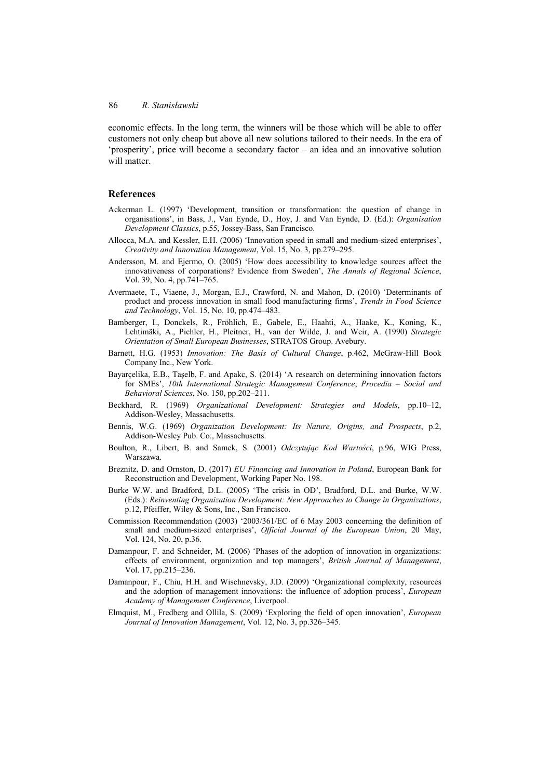economic effects. In the long term, the winners will be those which will be able to offer customers not only cheap but above all new solutions tailored to their needs. In the era of 'prosperity', price will become a secondary factor ‒ an idea and an innovative solution will matter.

#### **References**

- Ackerman L. (1997) 'Development, transition or transformation: the question of change in organisations', in Bass, J., Van Eynde, D., Hoy, J. and Van Eynde, D. (Ed.): *Organisation Development Classics*, p.55, Jossey-Bass, San Francisco.
- Allocca, M.A. and Kessler, E.H. (2006) 'Innovation speed in small and medium-sized enterprises', *Creativity and Innovation Management*, Vol. 15, No. 3, pp.279–295.
- Andersson, M. and Ejermo, O. (2005) 'How does accessibility to knowledge sources affect the innovativeness of corporations? Evidence from Sweden', *The Annals of Regional Science*, Vol. 39, No. 4, pp.741–765.
- Avermaete, T., Viaene, J., Morgan, E.J., Crawford, N. and Mahon, D. (2010) 'Determinants of product and process innovation in small food manufacturing firms', *Trends in Food Science and Technology*, Vol. 15, No. 10, pp.474–483.
- Bamberger, I., Donckels, R., Fröhlich, E., Gabele, E., Haahti, A., Haake, K., Koning, K., Lehtimäki, A., Pichler, H., Pleitner, H., van der Wilde, J. and Weir, A. (1990) *Strategic Orientation of Small European Businesses*, STRATOS Group. Avebury.
- Barnett, H.G. (1953) *Innovation: The Basis of Cultural Change*, p.462, McGraw-Hill Book Company Inc., New York.
- Bayarçelika, E.B., Taşelb, F. and Apakc, S. (2014) 'A research on determining innovation factors for SMEs', *10th International Strategic Management Conference*, *Procedia – Social and Behavioral Sciences*, No. 150, pp.202–211.
- Beckhard, R. (1969) *Organizational Development: Strategies and Models*, pp.10–12, Addison-Wesley, Massachusetts.
- Bennis, W.G. (1969) *Organization Development: Its Nature, Origins, and Prospects*, p.2, Addison-Wesley Pub. Co., Massachusetts.
- Boulton, R., Libert, B. and Samek, S. (2001) *Odczytując Kod Wartości*, p.96, WIG Press, Warszawa.
- Breznitz, D. and Ornston, D. (2017) *EU Financing and Innovation in Poland*, European Bank for Reconstruction and Development, Working Paper No. 198.
- Burke W.W. and Bradford, D.L. (2005) 'The crisis in OD', Bradford, D.L. and Burke, W.W. (Eds.): *Reinventing Organization Development: New Approaches to Change in Organizations*, p.12, Pfeiffer, Wiley & Sons, Inc., San Francisco.
- Commission Recommendation (2003) '2003/361/EC of 6 May 2003 concerning the definition of small and medium-sized enterprises', *Official Journal of the European Union*, 20 May, Vol. 124, No. 20, p.36.
- Damanpour, F. and Schneider, M. (2006) 'Phases of the adoption of innovation in organizations: effects of environment, organization and top managers', *British Journal of Management*, Vol. 17, pp.215–236.
- Damanpour, F., Chiu, H.H. and Wischnevsky, J.D. (2009) 'Organizational complexity, resources and the adoption of management innovations: the influence of adoption process', *European Academy of Management Conference*, Liverpool.
- Elmquist, M., Fredberg and Ollila, S. (2009) 'Exploring the field of open innovation', *European Journal of Innovation Management*, Vol. 12, No. 3, pp.326–345.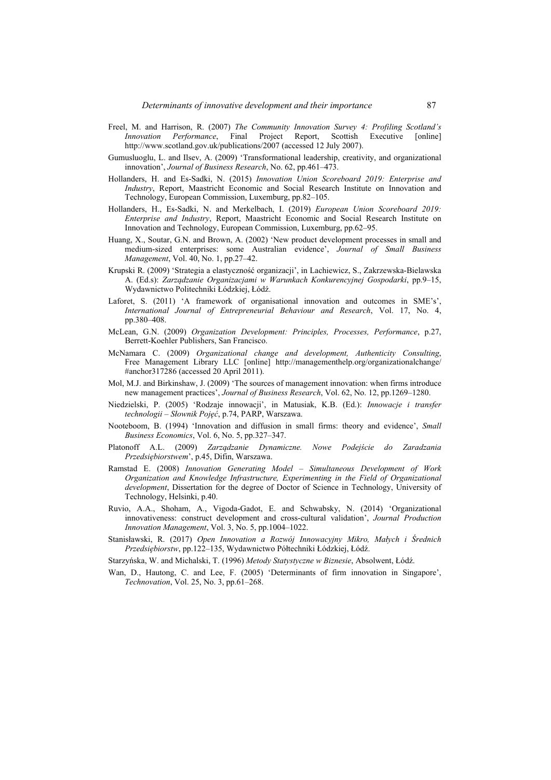- Freel, M. and Harrison, R. (2007) *The Community Innovation Survey 4: Profiling Scotland's Innovation Performance*, Final Project Report, Scottish Executive [online] http://www.scotland.gov.uk/publications/2007 (accessed 12 July 2007).
- Gumusluoglu, L. and Ilsev, A. (2009) 'Transformational leadership, creativity, and organizational innovation', *Journal of Business Research*, No. 62, pp.461–473.
- Hollanders, H. and Es-Sadki, N. (2015) *Innovation Union Scoreboard 2019: Enterprise and Industry*, Report, Maastricht Economic and Social Research Institute on Innovation and Technology, European Commission, Luxemburg, pp.82–105.
- Hollanders, H., Es-Sadki, N. and Merkelbach, I. (2019) *European Union Scoreboard 2019: Enterprise and Industry*, Report, Maastricht Economic and Social Research Institute on Innovation and Technology, European Commission, Luxemburg, pp.62–95.
- Huang, X., Soutar, G.N. and Brown, A. (2002) 'New product development processes in small and medium-sized enterprises: some Australian evidence', *Journal of Small Business Management*, Vol. 40, No. 1, pp.27–42.
- Krupski R. (2009) 'Strategia a elastyczność organizacji', in Lachiewicz, S., Zakrzewska-Bielawska A. (Ed.s): *Zarządzanie Organizacjami w Warunkach Konkurencyjnej Gospodarki*, pp.9–15, Wydawnictwo Politechniki Łódzkiej, Łódź.
- Laforet, S. (2011) 'A framework of organisational innovation and outcomes in SME's', *International Journal of Entrepreneurial Behaviour and Research*, Vol. 17, No. 4, pp.380–408.
- McLean, G.N. (2009) *Organization Development: Principles, Processes, Performance*, p.27, Berrett-Koehler Publishers, San Francisco.
- McNamara C. (2009) *Organizational change and development, Authenticity Consulting*, Free Management Library LLC [online] http://managementhelp.org/organizationalchange/ #anchor317286 (accessed 20 April 2011).
- Mol, M.J. and Birkinshaw, J. (2009) 'The sources of management innovation: when firms introduce new management practices', *Journal of Business Research*, Vol. 62, No. 12, pp.1269–1280.
- Niedzielski, P. (2005) 'Rodzaje innowacji', in Matusiak, K.B. (Ed.): *Innowacje i transfer technologii – Słownik Pojęć*, p.74, PARP, Warszawa.
- Nooteboom, B. (1994) 'Innovation and diffusion in small firms: theory and evidence', *Small Business Economics*, Vol. 6, No. 5, pp.327–347.
- Platonoff A.L. (2009) *Zarządzanie Dynamiczne. Nowe Podejście do Zaradzania Przedsiębiorstwem*', p.45, Difin, Warszawa.
- Ramstad E. (2008) *Innovation Generating Model Simultaneous Development of Work Organization and Knowledge Infrastructure, Experimenting in the Field of Organizational development*, Dissertation for the degree of Doctor of Science in Technology, University of Technology, Helsinki, p.40.
- Ruvio, A.A., Shoham, A., Vigoda-Gadot, E. and Schwabsky, N. (2014) 'Organizational innovativeness: construct development and cross-cultural validation', *Journal Production Innovation Management*, Vol. 3, No. 5, pp.1004–1022.
- Stanisławski, R. (2017) *Open Innovation a Rozwój Innowacyjny Mikro, Małych i Średnich Przedsiębiorstw*, pp.122–135, Wydawnictwo Półtechniki Łódzkiej, Łódź.
- Starzyńska, W. and Michalski, T. (1996) *Metody Statystyczne w Biznesie*, Absolwent, Łódź.
- Wan, D., Hautong, C. and Lee, F. (2005) 'Determinants of firm innovation in Singapore', *Technovation*, Vol. 25, No. 3, pp.61–268.